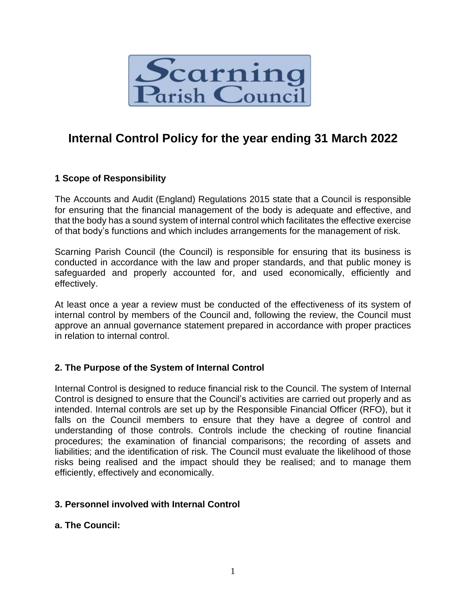

# **Internal Control Policy for the year ending 31 March 2022**

## **1 Scope of Responsibility**

The Accounts and Audit (England) Regulations 2015 state that a Council is responsible for ensuring that the financial management of the body is adequate and effective, and that the body has a sound system of internal control which facilitates the effective exercise of that body's functions and which includes arrangements for the management of risk.

Scarning Parish Council (the Council) is responsible for ensuring that its business is conducted in accordance with the law and proper standards, and that public money is safeguarded and properly accounted for, and used economically, efficiently and effectively.

At least once a year a review must be conducted of the effectiveness of its system of internal control by members of the Council and, following the review, the Council must approve an annual governance statement prepared in accordance with proper practices in relation to internal control.

## **2. The Purpose of the System of Internal Control**

Internal Control is designed to reduce financial risk to the Council. The system of Internal Control is designed to ensure that the Council's activities are carried out properly and as intended. Internal controls are set up by the Responsible Financial Officer (RFO), but it falls on the Council members to ensure that they have a degree of control and understanding of those controls. Controls include the checking of routine financial procedures; the examination of financial comparisons; the recording of assets and liabilities; and the identification of risk. The Council must evaluate the likelihood of those risks being realised and the impact should they be realised; and to manage them efficiently, effectively and economically.

## **3. Personnel involved with Internal Control**

## **a. The Council:**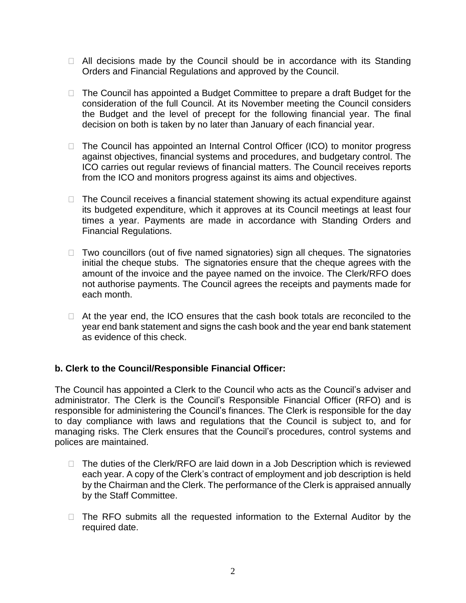- $\Box$  All decisions made by the Council should be in accordance with its Standing Orders and Financial Regulations and approved by the Council.
- $\Box$  The Council has appointed a Budget Committee to prepare a draft Budget for the consideration of the full Council. At its November meeting the Council considers the Budget and the level of precept for the following financial year. The final decision on both is taken by no later than January of each financial year.
- $\Box$  The Council has appointed an Internal Control Officer (ICO) to monitor progress against objectives, financial systems and procedures, and budgetary control. The ICO carries out regular reviews of financial matters. The Council receives reports from the ICO and monitors progress against its aims and objectives.
- $\Box$  The Council receives a financial statement showing its actual expenditure against its budgeted expenditure, which it approves at its Council meetings at least four times a year. Payments are made in accordance with Standing Orders and Financial Regulations.
- $\Box$  Two councillors (out of five named signatories) sign all cheques. The signatories initial the cheque stubs. The signatories ensure that the cheque agrees with the amount of the invoice and the payee named on the invoice. The Clerk/RFO does not authorise payments. The Council agrees the receipts and payments made for each month.
- $\Box$  At the year end, the ICO ensures that the cash book totals are reconciled to the year end bank statement and signs the cash book and the year end bank statement as evidence of this check.

## **b. Clerk to the Council/Responsible Financial Officer:**

The Council has appointed a Clerk to the Council who acts as the Council's adviser and administrator. The Clerk is the Council's Responsible Financial Officer (RFO) and is responsible for administering the Council's finances. The Clerk is responsible for the day to day compliance with laws and regulations that the Council is subject to, and for managing risks. The Clerk ensures that the Council's procedures, control systems and polices are maintained.

- $\Box$  The duties of the Clerk/RFO are laid down in a Job Description which is reviewed each year. A copy of the Clerk's contract of employment and job description is held by the Chairman and the Clerk. The performance of the Clerk is appraised annually by the Staff Committee.
- $\Box$  The RFO submits all the requested information to the External Auditor by the required date.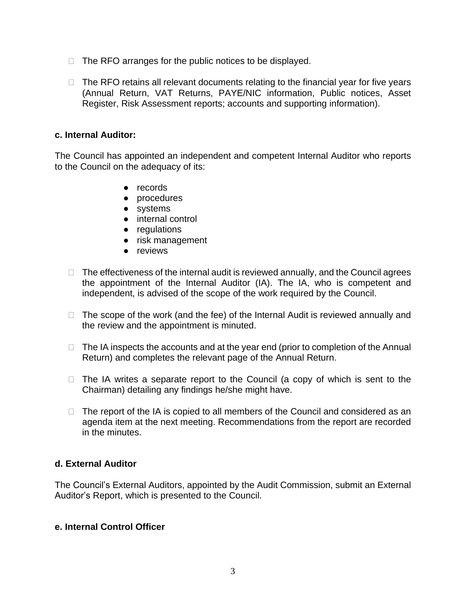- $\Box$  The RFO arranges for the public notices to be displayed.
- $\Box$  The RFO retains all relevant documents relating to the financial year for five years (Annual Return, VAT Returns, PAYE/NIC information, Public notices, Asset Register, Risk Assessment reports; accounts and supporting information).

## **c. Internal Auditor:**

The Council has appointed an independent and competent Internal Auditor who reports to the Council on the adequacy of its:

- records
- procedures
- systems
- internal control
- regulations
- risk management
- reviews
- $\Box$  The effectiveness of the internal audit is reviewed annually, and the Council agrees the appointment of the Internal Auditor (IA). The IA, who is competent and independent, is advised of the scope of the work required by the Council.
- $\Box$  The scope of the work (and the fee) of the Internal Audit is reviewed annually and the review and the appointment is minuted.
- $\Box$  The IA inspects the accounts and at the year end (prior to completion of the Annual Return) and completes the relevant page of the Annual Return.
- $\Box$  The IA writes a separate report to the Council (a copy of which is sent to the Chairman) detailing any findings he/she might have.
- $\Box$  The report of the IA is copied to all members of the Council and considered as an agenda item at the next meeting. Recommendations from the report are recorded in the minutes.

## **d. External Auditor**

The Council's External Auditors, appointed by the Audit Commission, submit an External Auditor's Report, which is presented to the Council.

## **e. Internal Control Officer**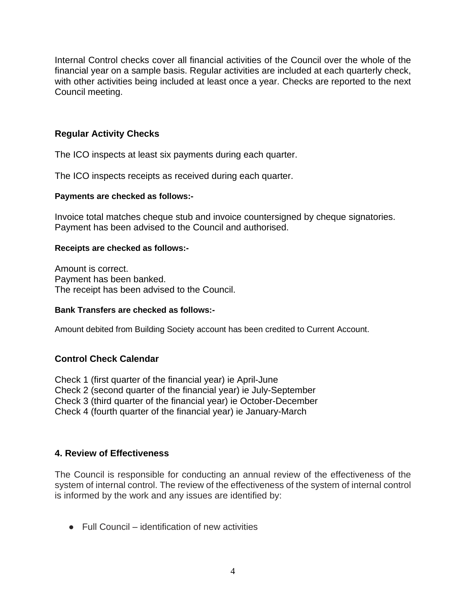Internal Control checks cover all financial activities of the Council over the whole of the financial year on a sample basis. Regular activities are included at each quarterly check, with other activities being included at least once a year. Checks are reported to the next Council meeting.

## **Regular Activity Checks**

The ICO inspects at least six payments during each quarter.

The ICO inspects receipts as received during each quarter.

#### **Payments are checked as follows:-**

Invoice total matches cheque stub and invoice countersigned by cheque signatories. Payment has been advised to the Council and authorised.

#### **Receipts are checked as follows:-**

Amount is correct. Payment has been banked. The receipt has been advised to the Council.

#### **Bank Transfers are checked as follows:-**

Amount debited from Building Society account has been credited to Current Account.

## **Control Check Calendar**

Check 1 (first quarter of the financial year) ie April-June Check 2 (second quarter of the financial year) ie July-September Check 3 (third quarter of the financial year) ie October-December Check 4 (fourth quarter of the financial year) ie January-March

## **4. Review of Effectiveness**

The Council is responsible for conducting an annual review of the effectiveness of the system of internal control. The review of the effectiveness of the system of internal control is informed by the work and any issues are identified by:

● Full Council – identification of new activities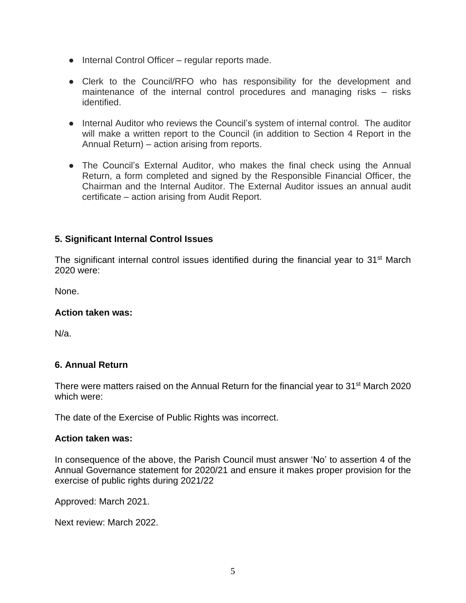- Internal Control Officer regular reports made.
- Clerk to the Council/RFO who has responsibility for the development and maintenance of the internal control procedures and managing risks – risks identified.
- Internal Auditor who reviews the Council's system of internal control. The auditor will make a written report to the Council (in addition to Section 4 Report in the Annual Return) – action arising from reports.
- The Council's External Auditor, who makes the final check using the Annual Return, a form completed and signed by the Responsible Financial Officer, the Chairman and the Internal Auditor. The External Auditor issues an annual audit certificate – action arising from Audit Report.

## **5. Significant Internal Control Issues**

The significant internal control issues identified during the financial year to 31<sup>st</sup> March 2020 were:

None.

#### **Action taken was:**

N/a.

## **6. Annual Return**

There were matters raised on the Annual Return for the financial year to 31st March 2020 which were:

The date of the Exercise of Public Rights was incorrect.

#### **Action taken was:**

In consequence of the above, the Parish Council must answer 'No' to assertion 4 of the Annual Governance statement for 2020/21 and ensure it makes proper provision for the exercise of public rights during 2021/22

Approved: March 2021.

Next review: March 2022.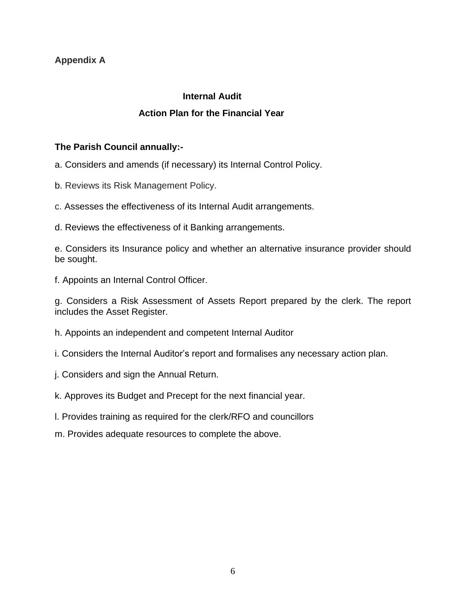## **Appendix A**

## **Internal Audit Action Plan for the Financial Year**

## **The Parish Council annually:-**

a. Considers and amends (if necessary) its Internal Control Policy.

- b. Reviews its Risk Management Policy.
- c. Assesses the effectiveness of its Internal Audit arrangements.
- d. Reviews the effectiveness of it Banking arrangements.

e. Considers its Insurance policy and whether an alternative insurance provider should be sought.

f. Appoints an Internal Control Officer.

g. Considers a Risk Assessment of Assets Report prepared by the clerk. The report includes the Asset Register.

h. Appoints an independent and competent Internal Auditor

i. Considers the Internal Auditor's report and formalises any necessary action plan.

j. Considers and sign the Annual Return.

k. Approves its Budget and Precept for the next financial year.

- l. Provides training as required for the clerk/RFO and councillors
- m. Provides adequate resources to complete the above.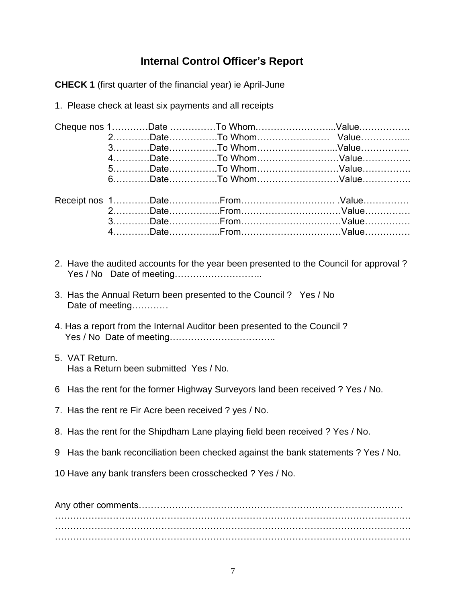## **Internal Control Officer's Report**

**CHECK 1** (first quarter of the financial year) ie April-June

1. Please check at least six payments and all receipts

|                |                                                                                     | Cheque nos 1Date To WhomValue                                                         |
|----------------|-------------------------------------------------------------------------------------|---------------------------------------------------------------------------------------|
|                |                                                                                     |                                                                                       |
|                |                                                                                     | 3DateTo WhomValue                                                                     |
|                |                                                                                     | 4DateTo WhomValue                                                                     |
|                |                                                                                     | 5DateTo WhomValue                                                                     |
|                |                                                                                     | 6DateTo WhomValue                                                                     |
|                |                                                                                     |                                                                                       |
|                |                                                                                     |                                                                                       |
|                |                                                                                     |                                                                                       |
|                |                                                                                     |                                                                                       |
|                |                                                                                     |                                                                                       |
|                |                                                                                     |                                                                                       |
|                |                                                                                     | 2. Have the audited accounts for the year been presented to the Council for approval? |
|                | 3. Has the Annual Return been presented to the Council? Yes / No<br>Date of meeting |                                                                                       |
|                | 4. Has a report from the Internal Auditor been presented to the Council?            |                                                                                       |
| 5. VAT Return. | Has a Return been submitted Yes / No.                                               |                                                                                       |
|                |                                                                                     | 6 Has the rent for the former Highway Surveyors land been received ? Yes / No.        |
|                | 7. Has the rent re Fir Acre been received ? yes / No.                               |                                                                                       |
|                | 8. Has the rent for the Shipdham Lane playing field been received ? Yes / No.       |                                                                                       |
|                |                                                                                     | 9 Has the bank reconciliation been checked against the bank statements ? Yes / No.    |
|                | 10 Have any bank transfers been crosschecked ? Yes / No.                            |                                                                                       |
|                |                                                                                     |                                                                                       |
|                |                                                                                     |                                                                                       |

………………………………………………………………………………………………………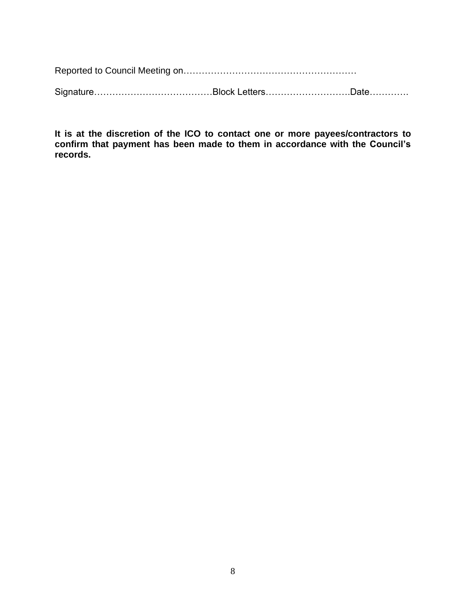Reported to Council Meeting on…………………………………………………

Signature…………………………………Block Letters……………………….Date………….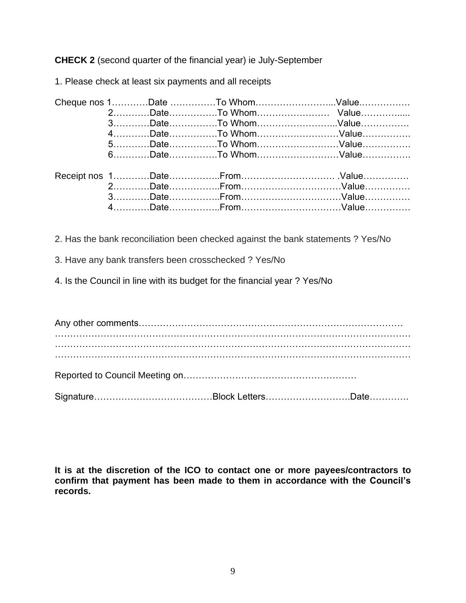**CHECK 2** (second quarter of the financial year) ie July-September

1. Please check at least six payments and all receipts

|  |  | 3DateTo WhomValue |  |
|--|--|-------------------|--|
|  |  | 4DateTo WhomValue |  |
|  |  | 5DateTo WhomValue |  |
|  |  | 6DateTo WhomValue |  |
|  |  |                   |  |
|  |  |                   |  |
|  |  |                   |  |
|  |  |                   |  |
|  |  |                   |  |
|  |  |                   |  |

2. Has the bank reconciliation been checked against the bank statements ? Yes/No

3. Have any bank transfers been crosschecked ? Yes/No

4. Is the Council in line with its budget for the financial year ? Yes/No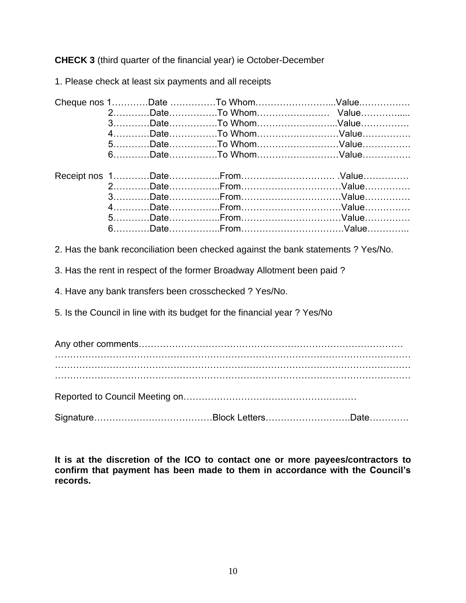**CHECK 3** (third quarter of the financial year) ie October-December

1. Please check at least six payments and all receipts

|  |  | 4DateTo WhomValue |  |
|--|--|-------------------|--|
|  |  | 5DateTo WhomValue |  |
|  |  | 6DateTo WhomValue |  |
|  |  |                   |  |
|  |  |                   |  |
|  |  |                   |  |
|  |  |                   |  |
|  |  |                   |  |
|  |  |                   |  |
|  |  |                   |  |
|  |  |                   |  |

2. Has the bank reconciliation been checked against the bank statements ? Yes/No.

3. Has the rent in respect of the former Broadway Allotment been paid ?

4. Have any bank transfers been crosschecked ? Yes/No.

5. Is the Council in line with its budget for the financial year ? Yes/No

Any other comments…………………………………………………………………………… ……………………………………………………………………………………………………… ……………………………………………………………………………………………………… ……………………………………………………………………………………………………… Reported to Council Meeting on………………………………………………… Signature…………………………………Block Letters……………………….Date………….